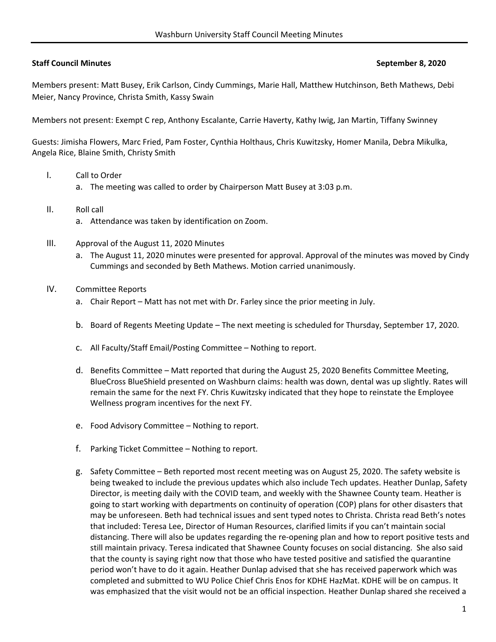## **Staff Council Minutes September 8, 2020**

Members present: Matt Busey, Erik Carlson, Cindy Cummings, Marie Hall, Matthew Hutchinson, Beth Mathews, Debi Meier, Nancy Province, Christa Smith, Kassy Swain

Members not present: Exempt C rep, Anthony Escalante, Carrie Haverty, Kathy Iwig, Jan Martin, Tiffany Swinney

Guests: Jimisha Flowers, Marc Fried, Pam Foster, Cynthia Holthaus, Chris Kuwitzsky, Homer Manila, Debra Mikulka, Angela Rice, Blaine Smith, Christy Smith

- I. Call to Order
	- a. The meeting was called to order by Chairperson Matt Busey at 3:03 p.m.
- II. Roll call
	- a. Attendance was taken by identification on Zoom.
- III. Approval of the August 11, 2020 Minutes
	- a. The August 11, 2020 minutes were presented for approval. Approval of the minutes was moved by Cindy Cummings and seconded by Beth Mathews. Motion carried unanimously.
- IV. Committee Reports
	- a. Chair Report Matt has not met with Dr. Farley since the prior meeting in July.
	- b. Board of Regents Meeting Update The next meeting is scheduled for Thursday, September 17, 2020.
	- c. All Faculty/Staff Email/Posting Committee Nothing to report.
	- d. Benefits Committee Matt reported that during the August 25, 2020 Benefits Committee Meeting, BlueCross BlueShield presented on Washburn claims: health was down, dental was up slightly. Rates will remain the same for the next FY. Chris Kuwitzsky indicated that they hope to reinstate the Employee Wellness program incentives for the next FY.
	- e. Food Advisory Committee Nothing to report.
	- f. Parking Ticket Committee Nothing to report.
	- g. Safety Committee Beth reported most recent meeting was on August 25, 2020. The safety website is being tweaked to include the previous updates which also include Tech updates. Heather Dunlap, Safety Director, is meeting daily with the COVID team, and weekly with the Shawnee County team. Heather is going to start working with departments on continuity of operation (COP) plans for other disasters that may be unforeseen. Beth had technical issues and sent typed notes to Christa. Christa read Beth's notes that included: Teresa Lee, Director of Human Resources, clarified limits if you can't maintain social distancing. There will also be updates regarding the re‐opening plan and how to report positive tests and still maintain privacy. Teresa indicated that Shawnee County focuses on social distancing. She also said that the county is saying right now that those who have tested positive and satisfied the quarantine period won't have to do it again. Heather Dunlap advised that she has received paperwork which was completed and submitted to WU Police Chief Chris Enos for KDHE HazMat. KDHE will be on campus. It was emphasized that the visit would not be an official inspection. Heather Dunlap shared she received a